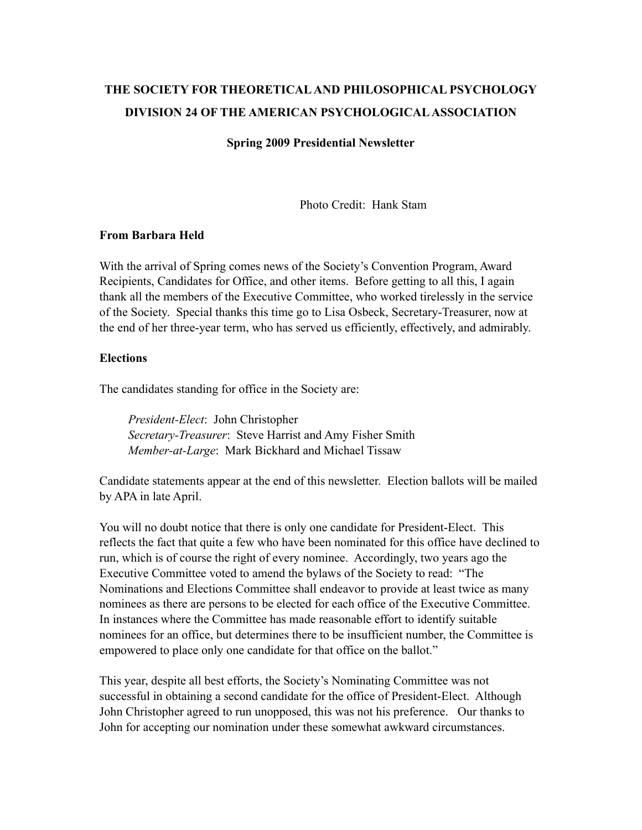# **THE SOCIETY FOR THEORETICAL AND PHILOSOPHICAL PSYCHOLOGY DIVISION 24 OF THE AMERICAN PSYCHOLOGICAL ASSOCIATION**

#### **Spring 2009 Presidential Newsletter**

Photo Credit: Hank Stam

#### **From Barbara Held**

With the arrival of Spring comes news of the Society's Convention Program, Award Recipients, Candidates for Office, and other items. Before getting to all this, I again thank all the members of the Executive Committee, who worked tirelessly in the service of the Society. Special thanks this time go to Lisa Osbeck, Secretary-Treasurer, now at the end of her three-year term, who has served us efficiently, effectively, and admirably.

#### **Elections**

The candidates standing for office in the Society are:

*President-Elect*: John Christopher *Secretary-Treasurer*: Steve Harrist and Amy Fisher Smith *Member-at-Large*: Mark Bickhard and Michael Tissaw

Candidate statements appear at the end of this newsletter. Election ballots will be mailed by APA in late April.

You will no doubt notice that there is only one candidate for President-Elect. This reflects the fact that quite a few who have been nominated for this office have declined to run, which is of course the right of every nominee. Accordingly, two years ago the Executive Committee voted to amend the bylaws of the Society to read: "The Nominations and Elections Committee shall endeavor to provide at least twice as many nominees as there are persons to be elected for each office of the Executive Committee. In instances where the Committee has made reasonable effort to identify suitable nominees for an office, but determines there to be insufficient number, the Committee is empowered to place only one candidate for that office on the ballot."

This year, despite all best efforts, the Society's Nominating Committee was not successful in obtaining a second candidate for the office of President-Elect. Although John Christopher agreed to run unopposed, this was not his preference. Our thanks to John for accepting our nomination under these somewhat awkward circumstances.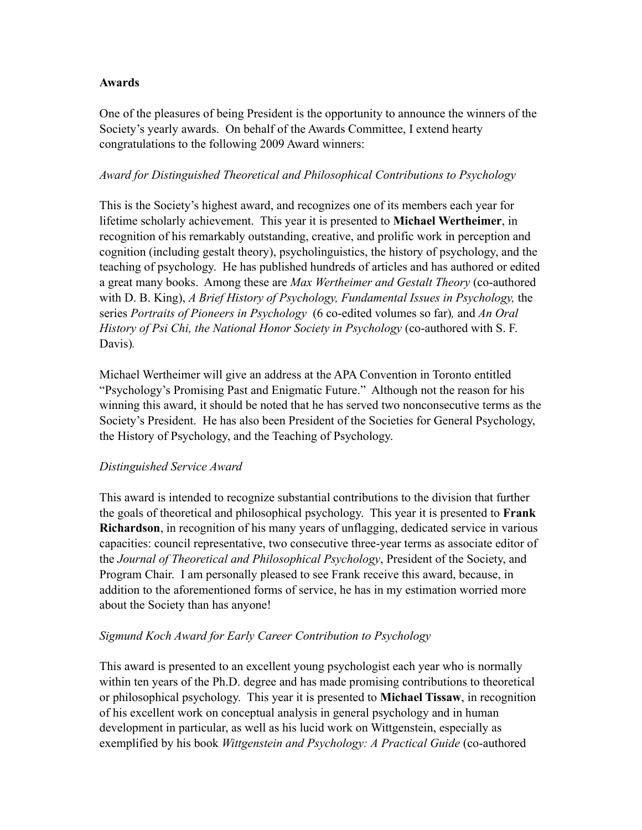## **Awards**

One of the pleasures of being President is the opportunity to announce the winners of the Society's yearly awards. On behalf of the Awards Committee, I extend hearty congratulations to the following 2009 Award winners:

## *Award for Distinguished Theoretical and Philosophical Contributions to Psychology*

This is the Society's highest award, and recognizes one of its members each year for lifetime scholarly achievement. This year it is presented to **Michael Wertheimer**, in recognition of his remarkably outstanding, creative, and prolific work in perception and cognition (including gestalt theory), psycholinguistics, the history of psychology, and the teaching of psychology. He has published hundreds of articles and has authored or edited a great many books. Among these are *Max Wertheimer and Gestalt Theory* (co-authored with D. B. King), *A Brief History of Psychology, Fundamental Issues in Psychology,* the series *Portraits of Pioneers in Psychology* (6 co-edited volumes so far)*,* and *An Oral History of Psi Chi, the National Honor Society in Psychology* (co-authored with S. F. Davis)*.*

Michael Wertheimer will give an address at the APA Convention in Toronto entitled "Psychology's Promising Past and Enigmatic Future." Although not the reason for his winning this award, it should be noted that he has served two nonconsecutive terms as the Society's President. He has also been President of the Societies for General Psychology, the History of Psychology, and the Teaching of Psychology.

## *Distinguished Service Award*

This award is intended to recognize substantial contributions to the division that further the goals of theoretical and philosophical psychology. This year it is presented to **Frank Richardson**, in recognition of his many years of unflagging, dedicated service in various capacities: council representative, two consecutive three-year terms as associate editor of the *Journal of Theoretical and Philosophical Psychology*, President of the Society, and Program Chair. I am personally pleased to see Frank receive this award, because, in addition to the aforementioned forms of service, he has in my estimation worried more about the Society than has anyone!

## *Sigmund Koch Award for Early Career Contribution to Psychology*

This award is presented to an excellent young psychologist each year who is normally within ten years of the Ph.D. degree and has made promising contributions to theoretical or philosophical psychology. This year it is presented to **Michael Tissaw**, in recognition of his excellent work on conceptual analysis in general psychology and in human development in particular, as well as his lucid work on Wittgenstein, especially as exemplified by his book *Wittgenstein and Psychology: A Practical Guide* (co-authored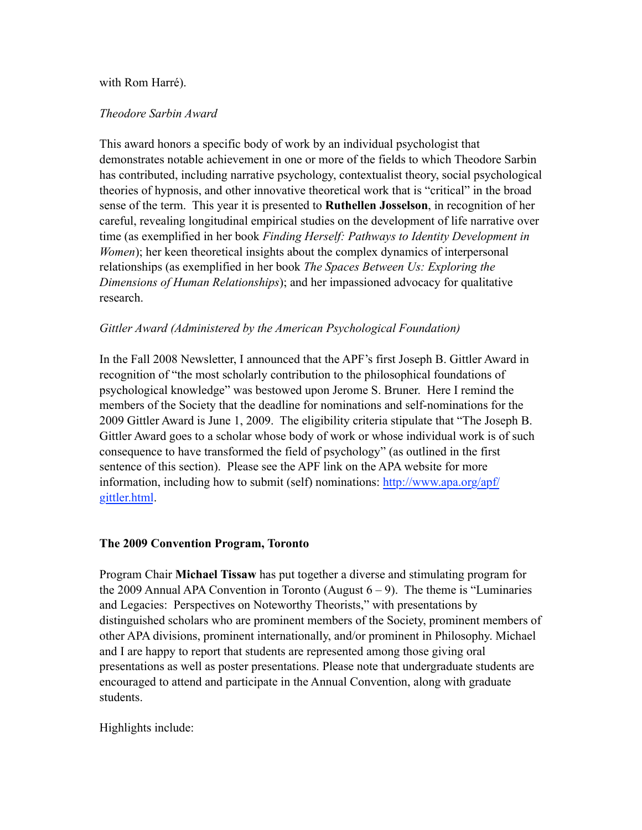## with Rom Harré).

#### *Theodore Sarbin Award*

This award honors a specific body of work by an individual psychologist that demonstrates notable achievement in one or more of the fields to which Theodore Sarbin has contributed, including narrative psychology, contextualist theory, social psychological theories of hypnosis, and other innovative theoretical work that is "critical" in the broad sense of the term. This year it is presented to **Ruthellen Josselson**, in recognition of her careful, revealing longitudinal empirical studies on the development of life narrative over time (as exemplified in her book *Finding Herself: Pathways to Identity Development in Women*); her keen theoretical insights about the complex dynamics of interpersonal relationships (as exemplified in her book *The Spaces Between Us: Exploring the Dimensions of Human Relationships*); and her impassioned advocacy for qualitative research.

## *Gittler Award (Administered by the American Psychological Foundation)*

In the Fall 2008 Newsletter, I announced that the APF's first Joseph B. Gittler Award in recognition of "the most scholarly contribution to the philosophical foundations of psychological knowledge" was bestowed upon Jerome S. Bruner. Here I remind the members of the Society that the deadline for nominations and self-nominations for the 2009 Gittler Award is June 1, 2009. The eligibility criteria stipulate that "The Joseph B. Gittler Award goes to a scholar whose body of work or whose individual work is of such consequence to have transformed the field of psychology" (as outlined in the first sentence of this section). Please see the APF link on the APA website for more information, including how to submit (self) nominations: [http://www.apa.org/apf/](http://www.apa.org/apf/gittler.html) [gittler.html.](http://www.apa.org/apf/gittler.html)

#### **The 2009 Convention Program, Toronto**

Program Chair **Michael Tissaw** has put together a diverse and stimulating program for the 2009 Annual APA Convention in Toronto (August  $6 - 9$ ). The theme is "Luminaries" and Legacies: Perspectives on Noteworthy Theorists," with presentations by distinguished scholars who are prominent members of the Society, prominent members of other APA divisions, prominent internationally, and/or prominent in Philosophy. Michael and I are happy to report that students are represented among those giving oral presentations as well as poster presentations. Please note that undergraduate students are encouraged to attend and participate in the Annual Convention, along with graduate students.

Highlights include: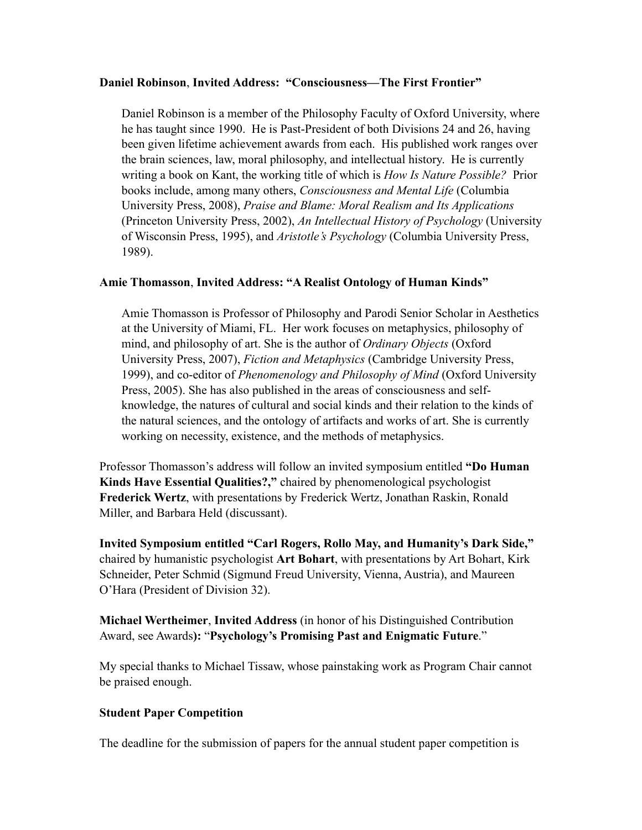#### **Daniel Robinson**, **Invited Address: "Consciousness—The First Frontier"**

Daniel Robinson is a member of the Philosophy Faculty of Oxford University, where he has taught since 1990. He is Past-President of both Divisions 24 and 26, having been given lifetime achievement awards from each. His published work ranges over the brain sciences, law, moral philosophy, and intellectual history. He is currently writing a book on Kant, the working title of which is *How Is Nature Possible?* Prior books include, among many others, *Consciousness and Mental Life* (Columbia University Press, 2008), *Praise and Blame: Moral Realism and Its Applications* (Princeton University Press, 2002), *An Intellectual History of Psychology* (University of Wisconsin Press, 1995), and *Aristotle's Psychology* (Columbia University Press, 1989).

## **Amie Thomasson**, **Invited Address: "A Realist Ontology of Human Kinds"**

Amie Thomasson is Professor of Philosophy and Parodi Senior Scholar in Aesthetics at the University of Miami, FL. Her work focuses on metaphysics, philosophy of mind, and philosophy of art. She is the author of *Ordinary Objects* (Oxford University Press, 2007), *Fiction and Metaphysics* (Cambridge University Press, 1999), and co-editor of *Phenomenology and Philosophy of Mind* (Oxford University Press, 2005). She has also published in the areas of consciousness and selfknowledge, the natures of cultural and social kinds and their relation to the kinds of the natural sciences, and the ontology of artifacts and works of art. She is currently working on necessity, existence, and the methods of metaphysics.

Professor Thomasson's address will follow an invited symposium entitled **"Do Human Kinds Have Essential Qualities?,"** chaired by phenomenological psychologist **Frederick Wertz**, with presentations by Frederick Wertz, Jonathan Raskin, Ronald Miller, and Barbara Held (discussant).

**Invited Symposium entitled "Carl Rogers, Rollo May, and Humanity's Dark Side,"**  chaired by humanistic psychologist **Art Bohart**, with presentations by Art Bohart, Kirk Schneider, Peter Schmid (Sigmund Freud University, Vienna, Austria), and Maureen O'Hara (President of Division 32).

**Michael Wertheimer**, **Invited Address** (in honor of his Distinguished Contribution Award, see Awards**):** "**Psychology's Promising Past and Enigmatic Future**."

My special thanks to Michael Tissaw, whose painstaking work as Program Chair cannot be praised enough.

## **Student Paper Competition**

The deadline for the submission of papers for the annual student paper competition is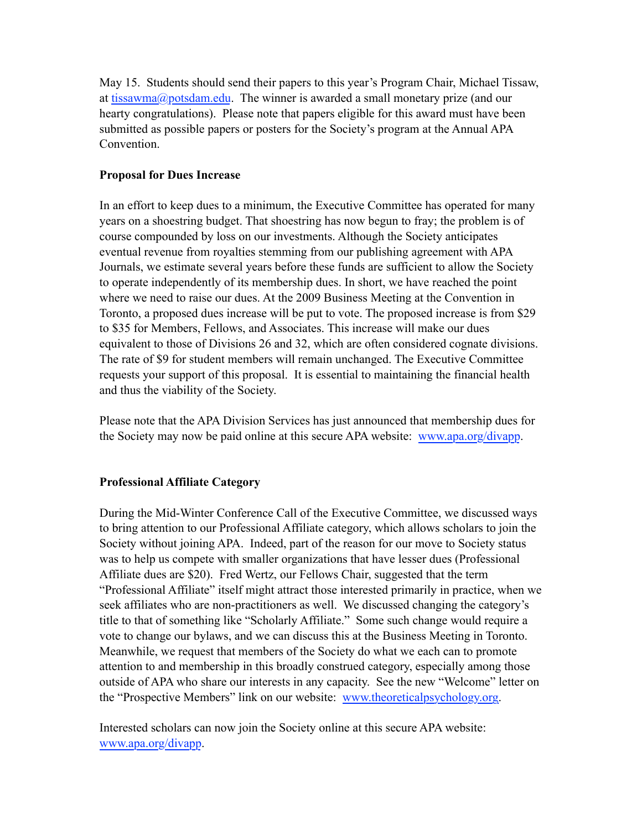May 15. Students should send their papers to this year's Program Chair, Michael Tissaw, at [tissawma@potsdam.edu](mailto:tissawma@potsdam.edu). The winner is awarded a small monetary prize (and our hearty congratulations). Please note that papers eligible for this award must have been submitted as possible papers or posters for the Society's program at the Annual APA Convention.

## **Proposal for Dues Increase**

In an effort to keep dues to a minimum, the Executive Committee has operated for many years on a shoestring budget. That shoestring has now begun to fray; the problem is of course compounded by loss on our investments. Although the Society anticipates eventual revenue from royalties stemming from our publishing agreement with APA Journals, we estimate several years before these funds are sufficient to allow the Society to operate independently of its membership dues. In short, we have reached the point where we need to raise our dues. At the 2009 Business Meeting at the Convention in Toronto, a proposed dues increase will be put to vote. The proposed increase is from \$29 to \$35 for Members, Fellows, and Associates. This increase will make our dues equivalent to those of Divisions 26 and 32, which are often considered cognate divisions. The rate of \$9 for student members will remain unchanged. The Executive Committee requests your support of this proposal. It is essential to maintaining the financial health and thus the viability of the Society.

Please note that the APA Division Services has just announced that membership dues for the Society may now be paid online at this secure APA website: [www.apa.org/divapp](http://www.apa.org/divapp).

## **Professional Affiliate Category**

During the Mid-Winter Conference Call of the Executive Committee, we discussed ways to bring attention to our Professional Affiliate category, which allows scholars to join the Society without joining APA. Indeed, part of the reason for our move to Society status was to help us compete with smaller organizations that have lesser dues (Professional Affiliate dues are \$20). Fred Wertz, our Fellows Chair, suggested that the term "Professional Affiliate" itself might attract those interested primarily in practice, when we seek affiliates who are non-practitioners as well. We discussed changing the category's title to that of something like "Scholarly Affiliate." Some such change would require a vote to change our bylaws, and we can discuss this at the Business Meeting in Toronto. Meanwhile, we request that members of the Society do what we each can to promote attention to and membership in this broadly construed category, especially among those outside of APA who share our interests in any capacity. See the new "Welcome" letter on the "Prospective Members" link on our website: [www.theoreticalpsychology.org.](http://www.theoreticalpsychology.org)

Interested scholars can now join the Society online at this secure APA website: [www.apa.org/divapp](http://www.apa.org/divapp).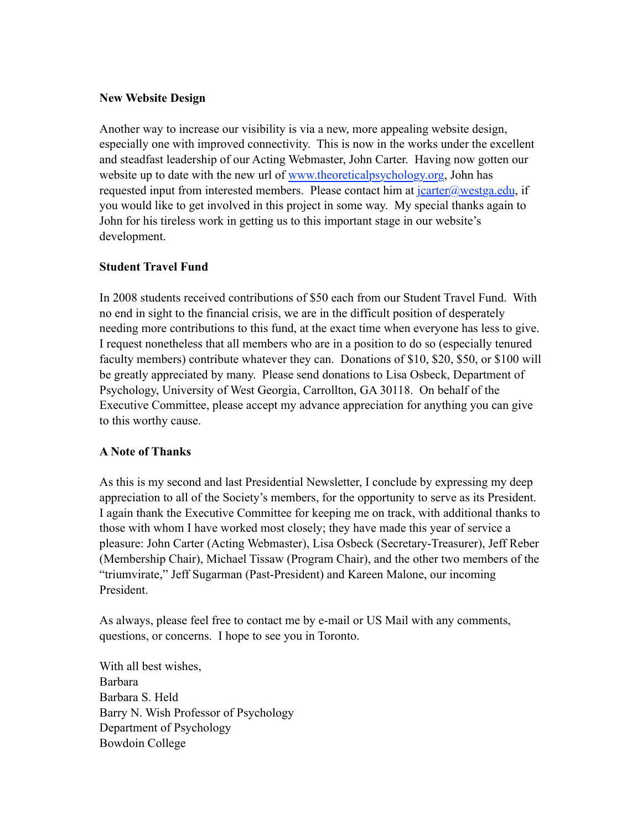## **New Website Design**

Another way to increase our visibility is via a new, more appealing website design, especially one with improved connectivity. This is now in the works under the excellent and steadfast leadership of our Acting Webmaster, John Carter. Having now gotten our website up to date with the new url of [www.theoreticalpsychology.org,](http://www.theoreticalpsychology.org) John has requested input from interested members. Please contact him at  $\frac{c \cdot \text{arter}(a)}{c \cdot \text{arter}(a)}$  if you would like to get involved in this project in some way. My special thanks again to John for his tireless work in getting us to this important stage in our website's development.

## **Student Travel Fund**

In 2008 students received contributions of \$50 each from our Student Travel Fund. With no end in sight to the financial crisis, we are in the difficult position of desperately needing more contributions to this fund, at the exact time when everyone has less to give. I request nonetheless that all members who are in a position to do so (especially tenured faculty members) contribute whatever they can. Donations of \$10, \$20, \$50, or \$100 will be greatly appreciated by many. Please send donations to Lisa Osbeck, Department of Psychology, University of West Georgia, Carrollton, GA 30118. On behalf of the Executive Committee, please accept my advance appreciation for anything you can give to this worthy cause.

## **A Note of Thanks**

As this is my second and last Presidential Newsletter, I conclude by expressing my deep appreciation to all of the Society's members, for the opportunity to serve as its President. I again thank the Executive Committee for keeping me on track, with additional thanks to those with whom I have worked most closely; they have made this year of service a pleasure: John Carter (Acting Webmaster), Lisa Osbeck (Secretary-Treasurer), Jeff Reber (Membership Chair), Michael Tissaw (Program Chair), and the other two members of the "triumvirate," Jeff Sugarman (Past-President) and Kareen Malone, our incoming President.

As always, please feel free to contact me by e-mail or US Mail with any comments, questions, or concerns. I hope to see you in Toronto.

With all best wishes, Barbara Barbara S. Held Barry N. Wish Professor of Psychology Department of Psychology Bowdoin College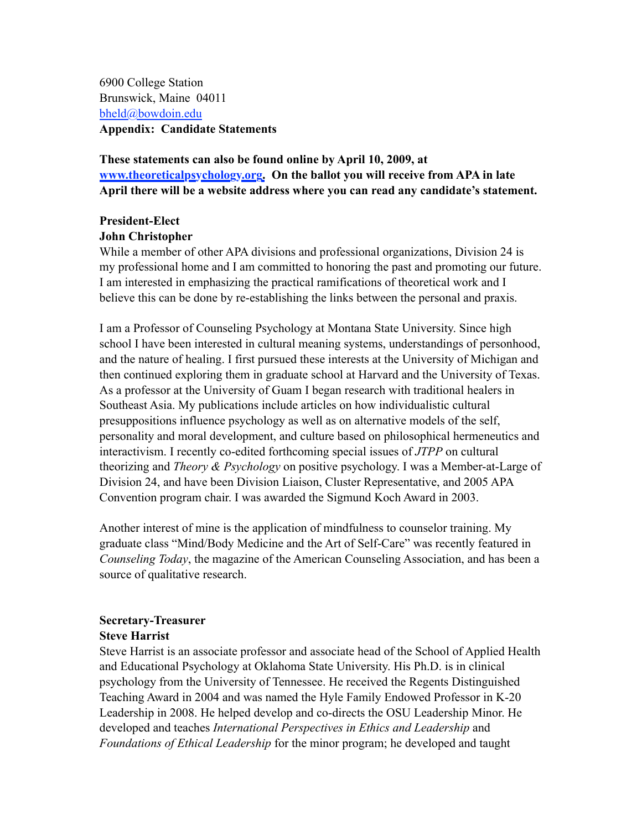6900 College Station Brunswick, Maine 04011 [bheld@bowdoin.edu](%22mailto:) **Appendix: Candidate Statements**

**These statements can also be found online by April 10, 2009, at [www.theoreticalpsychology.org](http://www.theoreticalpsychology.org). On the ballot you will receive from APA in late April there will be a website address where you can read any candidate's statement.**

## **President-Elect**

#### **John Christopher**

While a member of other APA divisions and professional organizations, Division 24 is my professional home and I am committed to honoring the past and promoting our future. I am interested in emphasizing the practical ramifications of theoretical work and I believe this can be done by re-establishing the links between the personal and praxis.

I am a Professor of Counseling Psychology at Montana State University. Since high school I have been interested in cultural meaning systems, understandings of personhood, and the nature of healing. I first pursued these interests at the University of Michigan and then continued exploring them in graduate school at Harvard and the University of Texas. As a professor at the University of Guam I began research with traditional healers in Southeast Asia. My publications include articles on how individualistic cultural presuppositions influence psychology as well as on alternative models of the self, personality and moral development, and culture based on philosophical hermeneutics and interactivism. I recently co-edited forthcoming special issues of *JTPP* on cultural theorizing and *Theory & Psychology* on positive psychology. I was a Member-at-Large of Division 24, and have been Division Liaison, Cluster Representative, and 2005 APA Convention program chair. I was awarded the Sigmund Koch Award in 2003.

Another interest of mine is the application of mindfulness to counselor training. My graduate class "Mind/Body Medicine and the Art of Self-Care" was recently featured in *Counseling Today*, the magazine of the American Counseling Association, and has been a source of qualitative research.

## **Secretary-Treasurer Steve Harrist**

Steve Harrist is an associate professor and associate head of the School of Applied Health and Educational Psychology at Oklahoma State University. His Ph.D. is in clinical psychology from the University of Tennessee. He received the Regents Distinguished Teaching Award in 2004 and was named the Hyle Family Endowed Professor in K-20 Leadership in 2008. He helped develop and co-directs the OSU Leadership Minor. He developed and teaches *International Perspectives in Ethics and Leadership* and *Foundations of Ethical Leadership* for the minor program; he developed and taught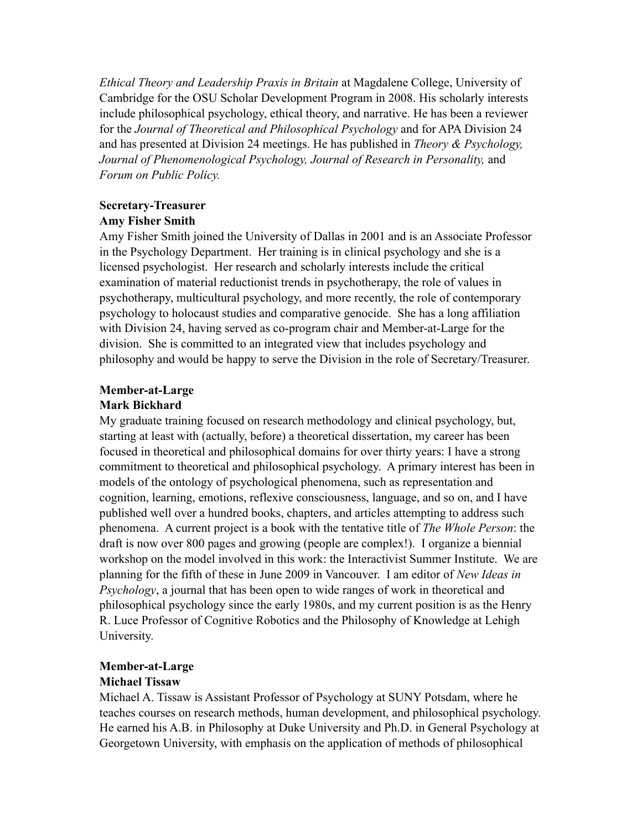*Ethical Theory and Leadership Praxis in Britain* at Magdalene College, University of Cambridge for the OSU Scholar Development Program in 2008. His scholarly interests include philosophical psychology, ethical theory, and narrative. He has been a reviewer for the *Journal of Theoretical and Philosophical Psychology* and for APA Division 24 and has presented at Division 24 meetings. He has published in *Theory & Psychology,*  Journal of Phenomenological Psychology, Journal of Research in Personality, and *Forum on Public Policy.*

#### **Secretary-Treasurer Amy Fisher Smith**

Amy Fisher Smith joined the University of Dallas in 2001 and is an Associate Professor in the Psychology Department. Her training is in clinical psychology and she is a licensed psychologist. Her research and scholarly interests include the critical examination of material reductionist trends in psychotherapy, the role of values in psychotherapy, multicultural psychology, and more recently, the role of contemporary psychology to holocaust studies and comparative genocide. She has a long affiliation with Division 24, having served as co-program chair and Member-at-Large for the division. She is committed to an integrated view that includes psychology and philosophy and would be happy to serve the Division in the role of Secretary/Treasurer.

## **Member-at-Large**

## **Mark Bickhard**

My graduate training focused on research methodology and clinical psychology, but, starting at least with (actually, before) a theoretical dissertation, my career has been focused in theoretical and philosophical domains for over thirty years: I have a strong commitment to theoretical and philosophical psychology. A primary interest has been in models of the ontology of psychological phenomena, such as representation and cognition, learning, emotions, reflexive consciousness, language, and so on, and I have published well over a hundred books, chapters, and articles attempting to address such phenomena. A current project is a book with the tentative title of *The Whole Person*: the draft is now over 800 pages and growing (people are complex!). I organize a biennial workshop on the model involved in this work: the Interactivist Summer Institute. We are planning for the fifth of these in June 2009 in Vancouver. I am editor of *New Ideas in Psychology*, a journal that has been open to wide ranges of work in theoretical and philosophical psychology since the early 1980s, and my current position is as the Henry R. Luce Professor of Cognitive Robotics and the Philosophy of Knowledge at Lehigh University.

# **Member-at-Large**

## **Michael Tissaw**

Michael A. Tissaw is Assistant Professor of Psychology at SUNY Potsdam, where he teaches courses on research methods, human development, and philosophical psychology. He earned his A.B. in Philosophy at Duke University and Ph.D. in General Psychology at Georgetown University, with emphasis on the application of methods of philosophical